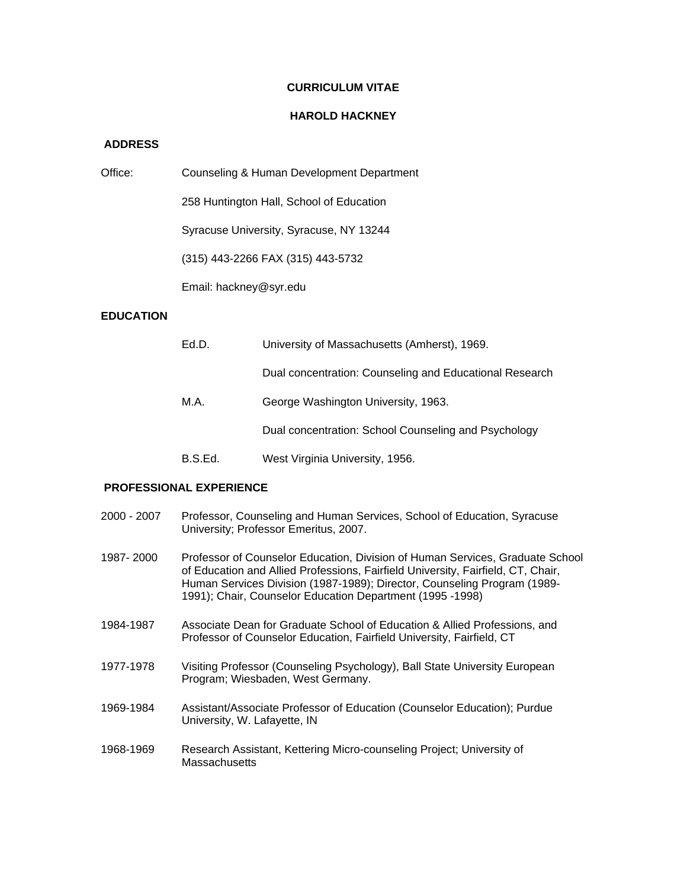### **CURRICULUM VITAE**

#### **HAROLD HACKNEY**

### **ADDRESS**

| Office: | Counseling & Human Development Department |  |  |
|---------|-------------------------------------------|--|--|
|         |                                           |  |  |

258 Huntington Hall, School of Education

Syracuse University, Syracuse, NY 13244

(315) 443-2266 FAX (315) 443-5732

Email: hackney@syr.edu

# **EDUCATION**

| Ed.D.   | University of Massachusetts (Amherst), 1969.            |  |  |  |
|---------|---------------------------------------------------------|--|--|--|
|         | Dual concentration: Counseling and Educational Research |  |  |  |
| M.A.    | George Washington University, 1963.                     |  |  |  |
|         | Dual concentration: School Counseling and Psychology    |  |  |  |
| B.S.Ed. | West Virginia University, 1956.                         |  |  |  |

## **PROFESSIONAL EXPERIENCE**

- 2000 2007 Professor, Counseling and Human Services, School of Education, Syracuse University; Professor Emeritus, 2007.
- 1987- 2000 Professor of Counselor Education, Division of Human Services, Graduate School of Education and Allied Professions, Fairfield University, Fairfield, CT, Chair, Human Services Division (1987-1989); Director, Counseling Program (1989- 1991); Chair, Counselor Education Department (1995 -1998)
- 1984-1987 Associate Dean for Graduate School of Education & Allied Professions, and Professor of Counselor Education, Fairfield University, Fairfield, CT
- 1977-1978 Visiting Professor (Counseling Psychology), Ball State University European Program; Wiesbaden, West Germany.
- 1969-1984 Assistant/Associate Professor of Education (Counselor Education); Purdue University, W. Lafayette, IN
- 1968-1969 Research Assistant, Kettering Micro-counseling Project; University of **Massachusetts**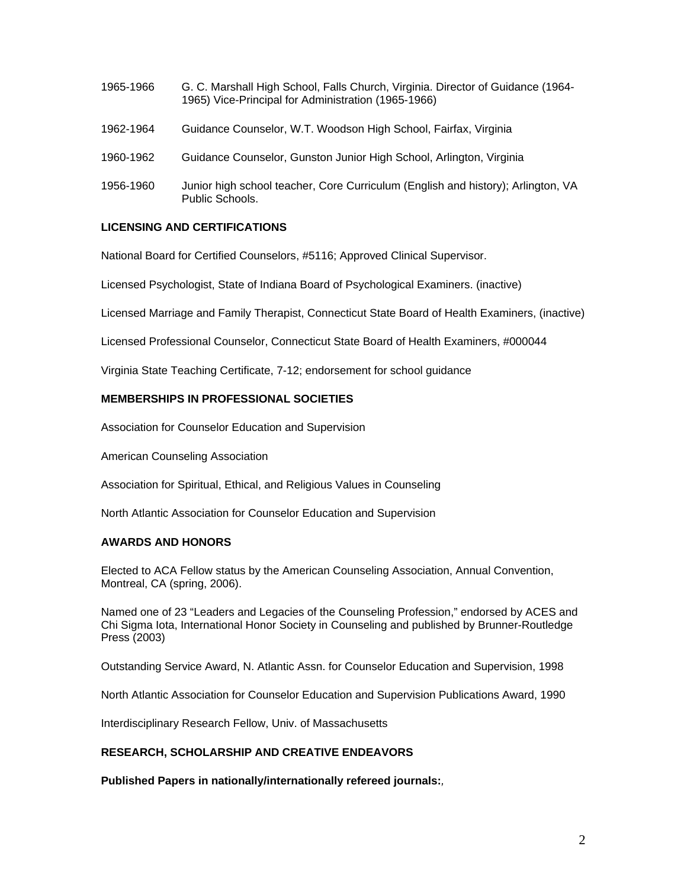| 1965-1966 | G. C. Marshall High School, Falls Church, Virginia. Director of Guidance (1964-<br>1965) Vice-Principal for Administration (1965-1966) |
|-----------|----------------------------------------------------------------------------------------------------------------------------------------|
| 1962-1964 | Guidance Counselor, W.T. Woodson High School, Fairfax, Virginia                                                                        |
| 1960-1962 | Guidance Counselor, Gunston Junior High School, Arlington, Virginia                                                                    |
| 1956-1960 | Junior high school teacher, Core Curriculum (English and history); Arlington, VA<br>Public Schools.                                    |

# **LICENSING AND CERTIFICATIONS**

National Board for Certified Counselors, #5116; Approved Clinical Supervisor.

Licensed Psychologist, State of Indiana Board of Psychological Examiners. (inactive)

Licensed Marriage and Family Therapist, Connecticut State Board of Health Examiners, (inactive)

Licensed Professional Counselor, Connecticut State Board of Health Examiners, #000044

Virginia State Teaching Certificate, 7-12; endorsement for school guidance

# **MEMBERSHIPS IN PROFESSIONAL SOCIETIES**

Association for Counselor Education and Supervision

American Counseling Association

Association for Spiritual, Ethical, and Religious Values in Counseling

North Atlantic Association for Counselor Education and Supervision

### **AWARDS AND HONORS**

Elected to ACA Fellow status by the American Counseling Association, Annual Convention, Montreal, CA (spring, 2006).

Named one of 23 "Leaders and Legacies of the Counseling Profession," endorsed by ACES and Chi Sigma Iota, International Honor Society in Counseling and published by Brunner-Routledge Press (2003)

Outstanding Service Award, N. Atlantic Assn. for Counselor Education and Supervision, 1998

North Atlantic Association for Counselor Education and Supervision Publications Award, 1990

Interdisciplinary Research Fellow, Univ. of Massachusetts

# **RESEARCH, SCHOLARSHIP AND CREATIVE ENDEAVORS**

**Published Papers in nationally/internationally refereed journals:***,*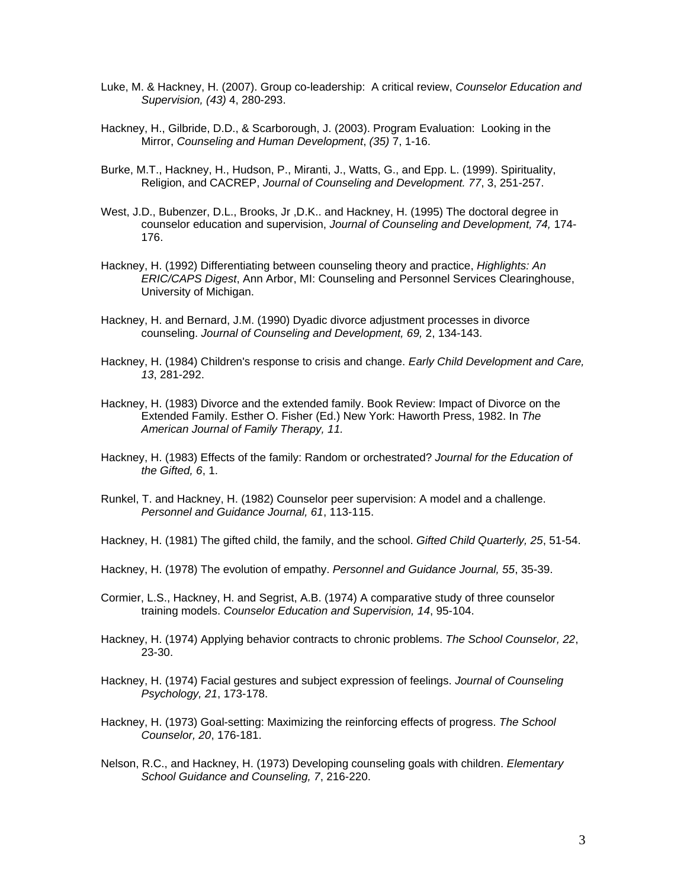- Luke, M. & Hackney, H. (2007). Group co-leadership: A critical review, *Counselor Education and Supervision, (43)* 4, 280-293.
- Hackney, H., Gilbride, D.D., & Scarborough, J. (2003). Program Evaluation: Looking in the Mirror, *Counseling and Human Development*, *(35)* 7, 1-16.
- Burke, M.T., Hackney, H., Hudson, P., Miranti, J., Watts, G., and Epp. L. (1999). Spirituality, Religion, and CACREP, *Journal of Counseling and Development. 77*, 3, 251-257.
- West, J.D., Bubenzer, D.L., Brooks, Jr ,D.K.. and Hackney, H. (1995) The doctoral degree in counselor education and supervision, *Journal of Counseling and Development, 74,* 174- 176.
- Hackney, H. (1992) Differentiating between counseling theory and practice, *Highlights: An ERIC/CAPS Digest*, Ann Arbor, MI: Counseling and Personnel Services Clearinghouse, University of Michigan.
- Hackney, H. and Bernard, J.M. (1990) Dyadic divorce adjustment processes in divorce counseling. *Journal of Counseling and Development, 69,* 2, 134-143.
- Hackney, H. (1984) Children's response to crisis and change. *Early Child Development and Care, 13*, 281-292.
- Hackney, H. (1983) Divorce and the extended family. Book Review: Impact of Divorce on the Extended Family. Esther O. Fisher (Ed.) New York: Haworth Press, 1982. In *The American Journal of Family Therapy, 11.*
- Hackney, H. (1983) Effects of the family: Random or orchestrated? *Journal for the Education of the Gifted, 6*, 1.
- Runkel, T. and Hackney, H. (1982) Counselor peer supervision: A model and a challenge. *Personnel and Guidance Journal, 61*, 113-115.
- Hackney, H. (1981) The gifted child, the family, and the school. *Gifted Child Quarterly, 25*, 51-54.
- Hackney, H. (1978) The evolution of empathy. *Personnel and Guidance Journal, 55*, 35-39.
- Cormier, L.S., Hackney, H. and Segrist, A.B. (1974) A comparative study of three counselor training models. *Counselor Education and Supervision, 14*, 95-104.
- Hackney, H. (1974) Applying behavior contracts to chronic problems. *The School Counselor, 22*, 23-30.
- Hackney, H. (1974) Facial gestures and subject expression of feelings. *Journal of Counseling Psychology, 21*, 173-178.
- Hackney, H. (1973) Goal-setting: Maximizing the reinforcing effects of progress. *The School Counselor, 20*, 176-181.
- Nelson, R.C., and Hackney, H. (1973) Developing counseling goals with children. *Elementary School Guidance and Counseling, 7*, 216-220.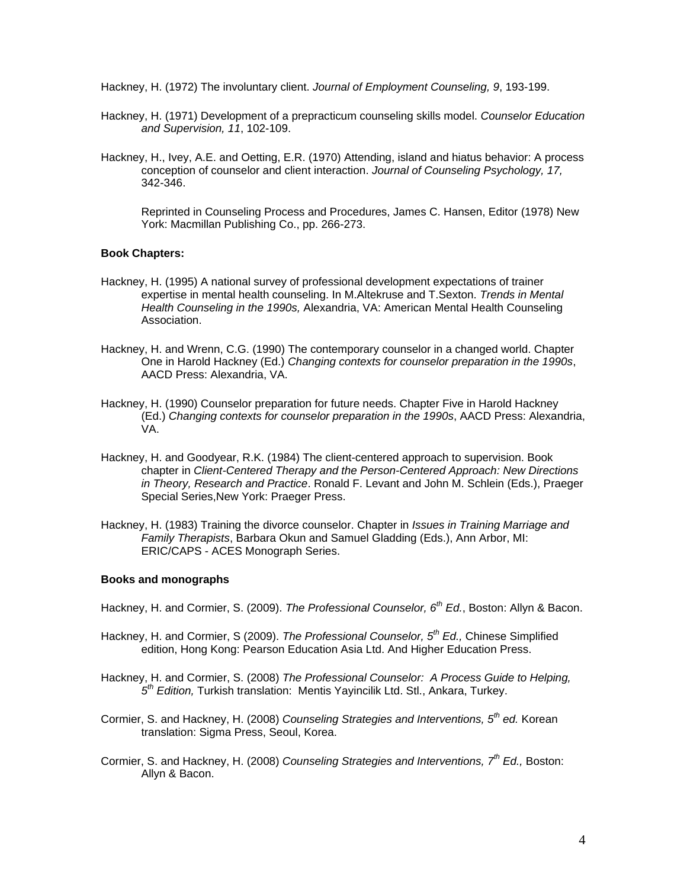Hackney, H. (1972) The involuntary client. *Journal of Employment Counseling, 9*, 193-199.

- Hackney, H. (1971) Development of a prepracticum counseling skills model. *Counselor Education and Supervision, 11*, 102-109.
- Hackney, H., Ivey, A.E. and Oetting, E.R. (1970) Attending, island and hiatus behavior: A process conception of counselor and client interaction. *Journal of Counseling Psychology, 17,*  342-346.

Reprinted in Counseling Process and Procedures, James C. Hansen, Editor (1978) New York: Macmillan Publishing Co., pp. 266-273.

## **Book Chapters:**

- Hackney, H. (1995) A national survey of professional development expectations of trainer expertise in mental health counseling. In M.Altekruse and T.Sexton. *Trends in Mental Health Counseling in the 1990s,* Alexandria, VA: American Mental Health Counseling Association.
- Hackney, H. and Wrenn, C.G. (1990) The contemporary counselor in a changed world. Chapter One in Harold Hackney (Ed.) *Changing contexts for counselor preparation in the 1990s*, AACD Press: Alexandria, VA.
- Hackney, H. (1990) Counselor preparation for future needs. Chapter Five in Harold Hackney (Ed.) *Changing contexts for counselor preparation in the 1990s*, AACD Press: Alexandria, VA.
- Hackney, H. and Goodyear, R.K. (1984) The client-centered approach to supervision. Book chapter in *Client-Centered Therapy and the Person-Centered Approach: New Directions in Theory, Research and Practice*. Ronald F. Levant and John M. Schlein (Eds.), Praeger Special Series,New York: Praeger Press.
- Hackney, H. (1983) Training the divorce counselor. Chapter in *Issues in Training Marriage and Family Therapists*, Barbara Okun and Samuel Gladding (Eds.), Ann Arbor, MI: ERIC/CAPS - ACES Monograph Series.

### **Books and monographs**

- Hackney, H. and Cormier, S. (2009). *The Professional Counselor, 6th Ed.*, Boston: Allyn & Bacon.
- Hackney, H. and Cormier, S (2009). *The Professional Counselor, 5th Ed.,* Chinese Simplified edition, Hong Kong: Pearson Education Asia Ltd. And Higher Education Press.
- Hackney, H. and Cormier, S. (2008) *The Professional Counselor: A Process Guide to Helping, 5th Edition,* Turkish translation: Mentis Yayincilik Ltd. Stl., Ankara, Turkey.
- Cormier, S. and Hackney, H. (2008) *Counseling Strategies and Interventions, 5th ed.* Korean translation: Sigma Press, Seoul, Korea.
- Cormier, S. and Hackney, H. (2008) *Counseling Strategies and Interventions, 7th Ed.,* Boston: Allyn & Bacon.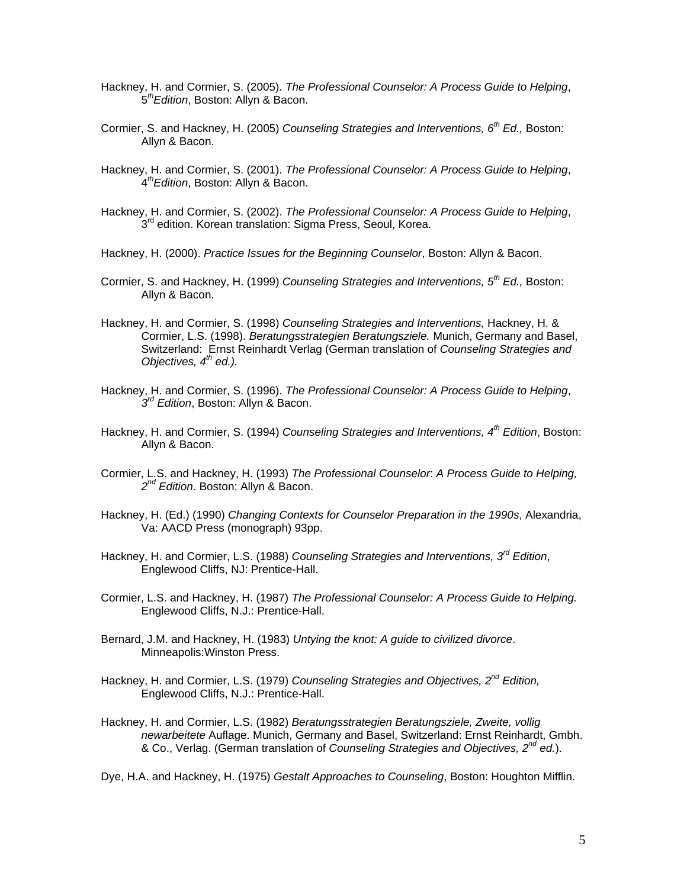- Hackney, H. and Cormier, S. (2005). *The Professional Counselor: A Process Guide to Helping*, 5*thEdition*, Boston: Allyn & Bacon.
- Cormier, S. and Hackney, H. (2005) *Counseling Strategies and Interventions, 6th Ed.,* Boston: Allyn & Bacon.
- Hackney, H. and Cormier, S. (2001). *The Professional Counselor: A Process Guide to Helping*, 4*thEdition*, Boston: Allyn & Bacon.
- Hackney, H. and Cormier, S. (2002). *The Professional Counselor: A Process Guide to Helping*,  $3<sup>rd</sup>$  edition. Korean translation: Sigma Press, Seoul, Korea.
- Hackney, H. (2000). *Practice Issues for the Beginning Counselor*, Boston: Allyn & Bacon.
- Cormier, S. and Hackney, H. (1999) *Counseling Strategies and Interventions, 5th Ed.,* Boston: Allyn & Bacon.
- Hackney, H. and Cormier, S. (1998) *Counseling Strategies and Interventions,* Hackney, H. & Cormier, L.S. (1998). *Beratungsstrategien Beratungsziele.* Munich, Germany and Basel, Switzerland: Ernst Reinhardt Verlag (German translation of *Counseling Strategies and Objectives, 4th ed.).*
- Hackney, H. and Cormier, S. (1996). *The Professional Counselor: A Process Guide to Helping*, *3rd Edition*, Boston: Allyn & Bacon.
- Hackney, H. and Cormier, S. (1994) *Counseling Strategies and Interventions, 4th Edition*, Boston: Allyn & Bacon.
- Cormier, L.S. and Hackney, H. (1993) *The Professional Counselor*: *A Process Guide to Helping, 2nd Edition*. Boston: Allyn & Bacon.
- Hackney, H. (Ed.) (1990) *Changing Contexts for Counselor Preparation in the 1990s*, Alexandria, Va: AACD Press (monograph) 93pp.
- Hackney, H. and Cormier, L.S. (1988) *Counseling Strategies and Interventions, 3rd Edition*, Englewood Cliffs, NJ: Prentice-Hall.
- Cormier, L.S. and Hackney, H. (1987) *The Professional Counselor: A Process Guide to Helping.*  Englewood Cliffs, N.J.: Prentice-Hall.
- Bernard, J.M. and Hackney, H. (1983) *Untying the knot: A guide to civilized divorce*. Minneapolis:Winston Press.
- Hackney, H. and Cormier, L.S. (1979) *Counseling Strategies and Objectives, 2nd Edition,*  Englewood Cliffs, N.J.: Prentice-Hall.
- Hackney, H. and Cormier, L.S. (1982) *Beratungsstrategien Beratungsziele, Zweite, vollig newarbeitete* Auflage. Munich, Germany and Basel, Switzerland: Ernst Reinhardt, Gmbh. & Co., Verlag. (German translation of *Counseling Strategies and Objectives, 2nd ed.*).

Dye, H.A. and Hackney, H. (1975) *Gestalt Approaches to Counseling*, Boston: Houghton Mifflin.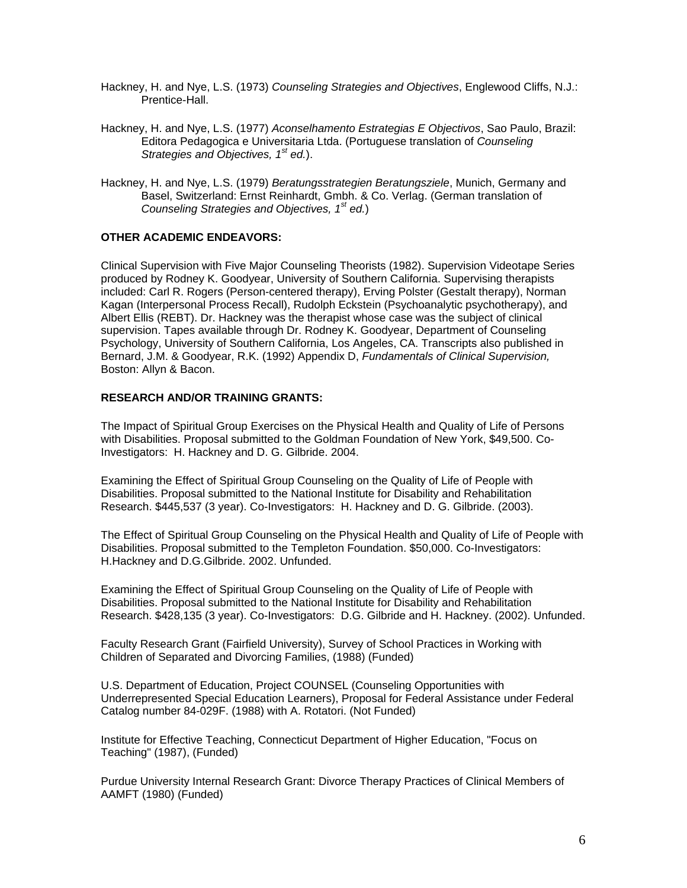- Hackney, H. and Nye, L.S. (1973) *Counseling Strategies and Objectives*, Englewood Cliffs, N.J.: Prentice-Hall.
- Hackney, H. and Nye, L.S. (1977) *Aconselhamento Estrategias E Objectivos*, Sao Paulo, Brazil: Editora Pedagogica e Universitaria Ltda. (Portuguese translation of *Counseling Strategies and Objectives, 1st ed.*).
- Hackney, H. and Nye, L.S. (1979) *Beratungsstrategien Beratungsziele*, Munich, Germany and Basel, Switzerland: Ernst Reinhardt, Gmbh. & Co. Verlag. (German translation of *Counseling Strategies and Objectives, 1st ed.*)

# **OTHER ACADEMIC ENDEAVORS:**

Clinical Supervision with Five Major Counseling Theorists (1982). Supervision Videotape Series produced by Rodney K. Goodyear, University of Southern California. Supervising therapists included: Carl R. Rogers (Person-centered therapy), Erving Polster (Gestalt therapy), Norman Kagan (Interpersonal Process Recall), Rudolph Eckstein (Psychoanalytic psychotherapy), and Albert Ellis (REBT). Dr. Hackney was the therapist whose case was the subject of clinical supervision. Tapes available through Dr. Rodney K. Goodyear, Department of Counseling Psychology, University of Southern California, Los Angeles, CA. Transcripts also published in Bernard, J.M. & Goodyear, R.K. (1992) Appendix D, *Fundamentals of Clinical Supervision,*  Boston: Allyn & Bacon.

### **RESEARCH AND/OR TRAINING GRANTS:**

The Impact of Spiritual Group Exercises on the Physical Health and Quality of Life of Persons with Disabilities. Proposal submitted to the Goldman Foundation of New York, \$49,500. Co-Investigators: H. Hackney and D. G. Gilbride. 2004.

Examining the Effect of Spiritual Group Counseling on the Quality of Life of People with Disabilities. Proposal submitted to the National Institute for Disability and Rehabilitation Research. \$445,537 (3 year). Co-Investigators: H. Hackney and D. G. Gilbride. (2003).

The Effect of Spiritual Group Counseling on the Physical Health and Quality of Life of People with Disabilities. Proposal submitted to the Templeton Foundation. \$50,000. Co-Investigators: H.Hackney and D.G.Gilbride. 2002. Unfunded.

Examining the Effect of Spiritual Group Counseling on the Quality of Life of People with Disabilities. Proposal submitted to the National Institute for Disability and Rehabilitation Research. \$428,135 (3 year). Co-Investigators: D.G. Gilbride and H. Hackney. (2002). Unfunded.

Faculty Research Grant (Fairfield University), Survey of School Practices in Working with Children of Separated and Divorcing Families, (1988) (Funded)

U.S. Department of Education, Project COUNSEL (Counseling Opportunities with Underrepresented Special Education Learners), Proposal for Federal Assistance under Federal Catalog number 84-029F. (1988) with A. Rotatori. (Not Funded)

Institute for Effective Teaching, Connecticut Department of Higher Education, "Focus on Teaching" (1987), (Funded)

Purdue University Internal Research Grant: Divorce Therapy Practices of Clinical Members of AAMFT (1980) (Funded)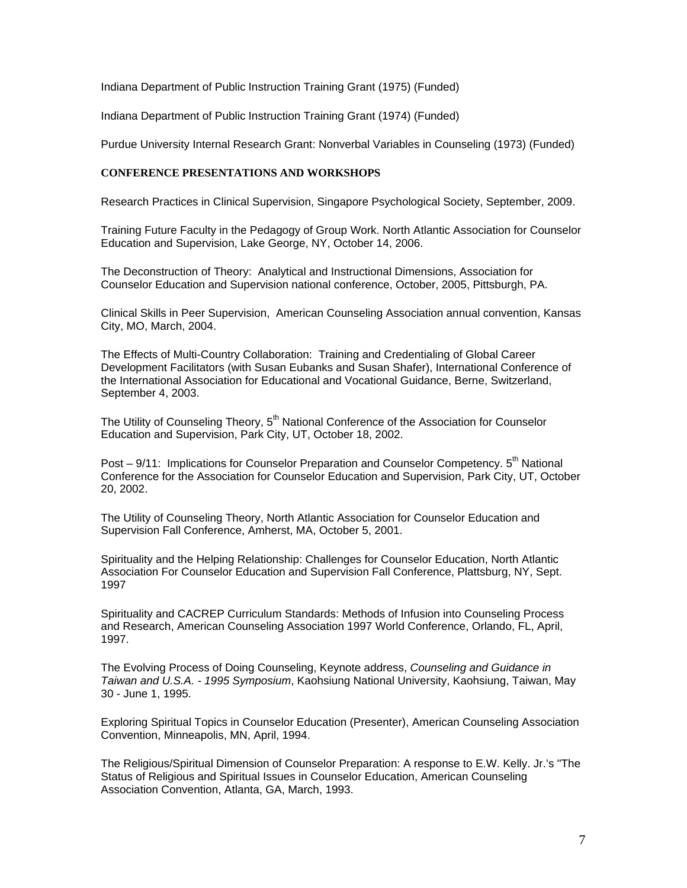Indiana Department of Public Instruction Training Grant (1975) (Funded)

Indiana Department of Public Instruction Training Grant (1974) (Funded)

Purdue University Internal Research Grant: Nonverbal Variables in Counseling (1973) (Funded)

## **CONFERENCE PRESENTATIONS AND WORKSHOPS**

Research Practices in Clinical Supervision, Singapore Psychological Society, September, 2009.

Training Future Faculty in the Pedagogy of Group Work. North Atlantic Association for Counselor Education and Supervision, Lake George, NY, October 14, 2006.

The Deconstruction of Theory: Analytical and Instructional Dimensions, Association for Counselor Education and Supervision national conference, October, 2005, Pittsburgh, PA.

Clinical Skills in Peer Supervision, American Counseling Association annual convention, Kansas City, MO, March, 2004.

The Effects of Multi-Country Collaboration: Training and Credentialing of Global Career Development Facilitators (with Susan Eubanks and Susan Shafer), International Conference of the International Association for Educational and Vocational Guidance, Berne, Switzerland, September 4, 2003.

The Utility of Counseling Theory, 5<sup>th</sup> National Conference of the Association for Counselor Education and Supervision, Park City, UT, October 18, 2002.

Post – 9/11: Implications for Counselor Preparation and Counselor Competency. 5<sup>th</sup> National Conference for the Association for Counselor Education and Supervision, Park City, UT, October 20, 2002.

The Utility of Counseling Theory, North Atlantic Association for Counselor Education and Supervision Fall Conference, Amherst, MA, October 5, 2001.

Spirituality and the Helping Relationship: Challenges for Counselor Education, North Atlantic Association For Counselor Education and Supervision Fall Conference, Plattsburg, NY, Sept. 1997

Spirituality and CACREP Curriculum Standards: Methods of Infusion into Counseling Process and Research, American Counseling Association 1997 World Conference, Orlando, FL, April, 1997.

The Evolving Process of Doing Counseling, Keynote address, *Counseling and Guidance in Taiwan and U.S.A. - 1995 Symposium*, Kaohsiung National University, Kaohsiung, Taiwan, May 30 - June 1, 1995.

Exploring Spiritual Topics in Counselor Education (Presenter), American Counseling Association Convention, Minneapolis, MN, April, 1994.

The Religious/Spiritual Dimension of Counselor Preparation: A response to E.W. Kelly. Jr.'s "The Status of Religious and Spiritual Issues in Counselor Education, American Counseling Association Convention, Atlanta, GA, March, 1993.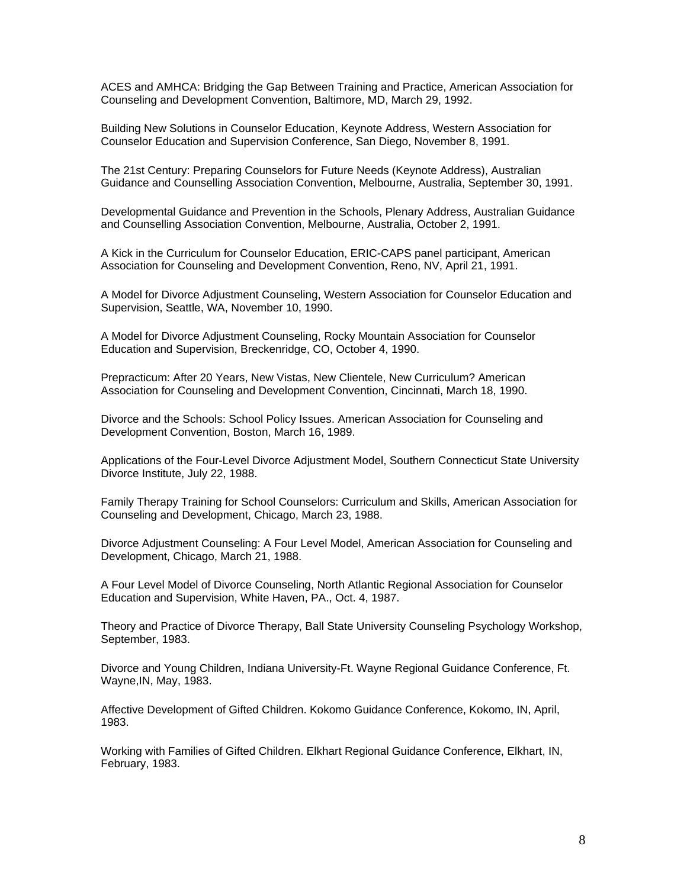ACES and AMHCA: Bridging the Gap Between Training and Practice, American Association for Counseling and Development Convention, Baltimore, MD, March 29, 1992.

Building New Solutions in Counselor Education, Keynote Address, Western Association for Counselor Education and Supervision Conference, San Diego, November 8, 1991.

The 21st Century: Preparing Counselors for Future Needs (Keynote Address), Australian Guidance and Counselling Association Convention, Melbourne, Australia, September 30, 1991.

Developmental Guidance and Prevention in the Schools, Plenary Address, Australian Guidance and Counselling Association Convention, Melbourne, Australia, October 2, 1991.

A Kick in the Curriculum for Counselor Education, ERIC-CAPS panel participant, American Association for Counseling and Development Convention, Reno, NV, April 21, 1991.

A Model for Divorce Adjustment Counseling, Western Association for Counselor Education and Supervision, Seattle, WA, November 10, 1990.

A Model for Divorce Adjustment Counseling, Rocky Mountain Association for Counselor Education and Supervision, Breckenridge, CO, October 4, 1990.

Prepracticum: After 20 Years, New Vistas, New Clientele, New Curriculum? American Association for Counseling and Development Convention, Cincinnati, March 18, 1990.

Divorce and the Schools: School Policy Issues. American Association for Counseling and Development Convention, Boston, March 16, 1989.

Applications of the Four-Level Divorce Adjustment Model, Southern Connecticut State University Divorce Institute, July 22, 1988.

Family Therapy Training for School Counselors: Curriculum and Skills, American Association for Counseling and Development, Chicago, March 23, 1988.

Divorce Adjustment Counseling: A Four Level Model, American Association for Counseling and Development, Chicago, March 21, 1988.

A Four Level Model of Divorce Counseling, North Atlantic Regional Association for Counselor Education and Supervision, White Haven, PA., Oct. 4, 1987.

Theory and Practice of Divorce Therapy, Ball State University Counseling Psychology Workshop, September, 1983.

Divorce and Young Children, Indiana University-Ft. Wayne Regional Guidance Conference, Ft. Wayne,IN, May, 1983.

Affective Development of Gifted Children. Kokomo Guidance Conference, Kokomo, IN, April, 1983.

Working with Families of Gifted Children. Elkhart Regional Guidance Conference, Elkhart, IN, February, 1983.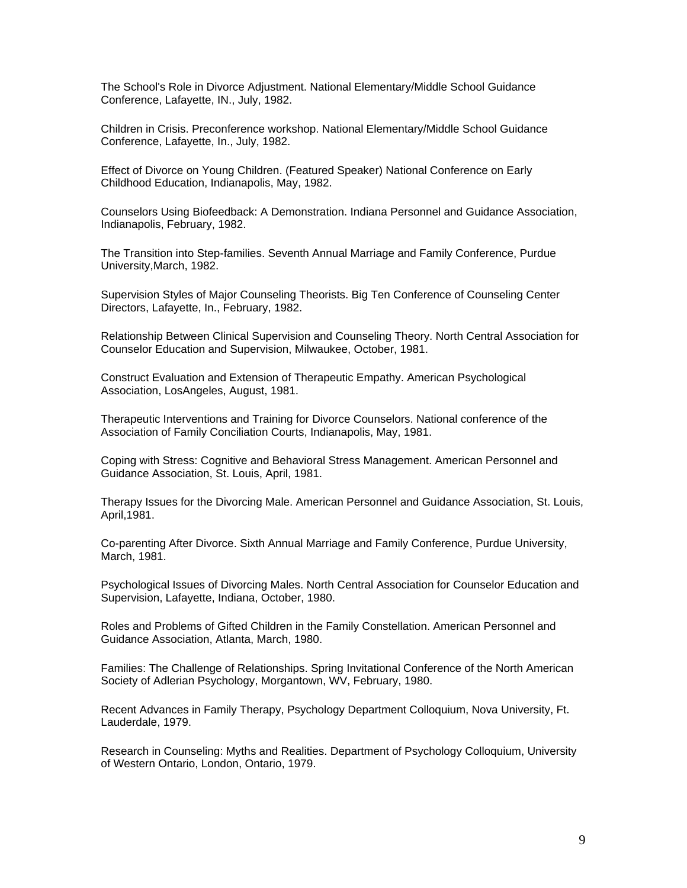The School's Role in Divorce Adjustment. National Elementary/Middle School Guidance Conference, Lafayette, IN., July, 1982.

Children in Crisis. Preconference workshop. National Elementary/Middle School Guidance Conference, Lafayette, In., July, 1982.

Effect of Divorce on Young Children. (Featured Speaker) National Conference on Early Childhood Education, Indianapolis, May, 1982.

Counselors Using Biofeedback: A Demonstration. Indiana Personnel and Guidance Association, Indianapolis, February, 1982.

The Transition into Step-families. Seventh Annual Marriage and Family Conference, Purdue University,March, 1982.

Supervision Styles of Major Counseling Theorists. Big Ten Conference of Counseling Center Directors, Lafayette, In., February, 1982.

Relationship Between Clinical Supervision and Counseling Theory. North Central Association for Counselor Education and Supervision, Milwaukee, October, 1981.

Construct Evaluation and Extension of Therapeutic Empathy. American Psychological Association, LosAngeles, August, 1981.

Therapeutic Interventions and Training for Divorce Counselors. National conference of the Association of Family Conciliation Courts, Indianapolis, May, 1981.

Coping with Stress: Cognitive and Behavioral Stress Management. American Personnel and Guidance Association, St. Louis, April, 1981.

Therapy Issues for the Divorcing Male. American Personnel and Guidance Association, St. Louis, April,1981.

Co-parenting After Divorce. Sixth Annual Marriage and Family Conference, Purdue University, March, 1981.

Psychological Issues of Divorcing Males. North Central Association for Counselor Education and Supervision, Lafayette, Indiana, October, 1980.

Roles and Problems of Gifted Children in the Family Constellation. American Personnel and Guidance Association, Atlanta, March, 1980.

Families: The Challenge of Relationships. Spring Invitational Conference of the North American Society of Adlerian Psychology, Morgantown, WV, February, 1980.

Recent Advances in Family Therapy, Psychology Department Colloquium, Nova University, Ft. Lauderdale, 1979.

Research in Counseling: Myths and Realities. Department of Psychology Colloquium, University of Western Ontario, London, Ontario, 1979.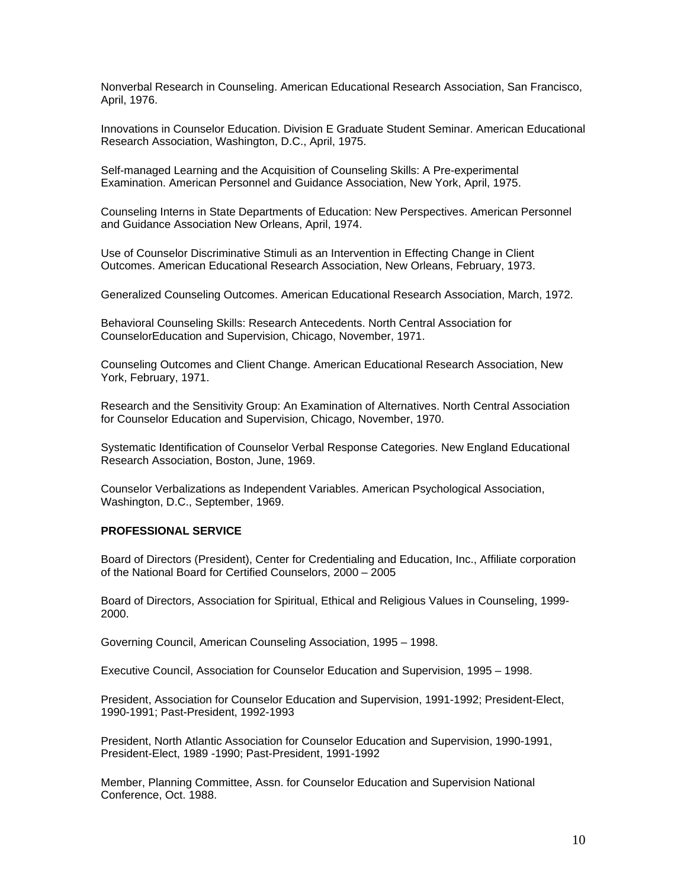Nonverbal Research in Counseling. American Educational Research Association, San Francisco, April, 1976.

Innovations in Counselor Education. Division E Graduate Student Seminar. American Educational Research Association, Washington, D.C., April, 1975.

Self-managed Learning and the Acquisition of Counseling Skills: A Pre-experimental Examination. American Personnel and Guidance Association, New York, April, 1975.

Counseling Interns in State Departments of Education: New Perspectives. American Personnel and Guidance Association New Orleans, April, 1974.

Use of Counselor Discriminative Stimuli as an Intervention in Effecting Change in Client Outcomes. American Educational Research Association, New Orleans, February, 1973.

Generalized Counseling Outcomes. American Educational Research Association, March, 1972.

Behavioral Counseling Skills: Research Antecedents. North Central Association for CounselorEducation and Supervision, Chicago, November, 1971.

Counseling Outcomes and Client Change. American Educational Research Association, New York, February, 1971.

Research and the Sensitivity Group: An Examination of Alternatives. North Central Association for Counselor Education and Supervision, Chicago, November, 1970.

Systematic Identification of Counselor Verbal Response Categories. New England Educational Research Association, Boston, June, 1969.

Counselor Verbalizations as Independent Variables. American Psychological Association, Washington, D.C., September, 1969.

## **PROFESSIONAL SERVICE**

Board of Directors (President), Center for Credentialing and Education, Inc., Affiliate corporation of the National Board for Certified Counselors, 2000 – 2005

Board of Directors, Association for Spiritual, Ethical and Religious Values in Counseling, 1999- 2000.

Governing Council, American Counseling Association, 1995 – 1998.

Executive Council, Association for Counselor Education and Supervision, 1995 – 1998.

President, Association for Counselor Education and Supervision, 1991-1992; President-Elect, 1990-1991; Past-President, 1992-1993

President, North Atlantic Association for Counselor Education and Supervision, 1990-1991, President-Elect, 1989 -1990; Past-President, 1991-1992

Member, Planning Committee, Assn. for Counselor Education and Supervision National Conference, Oct. 1988.